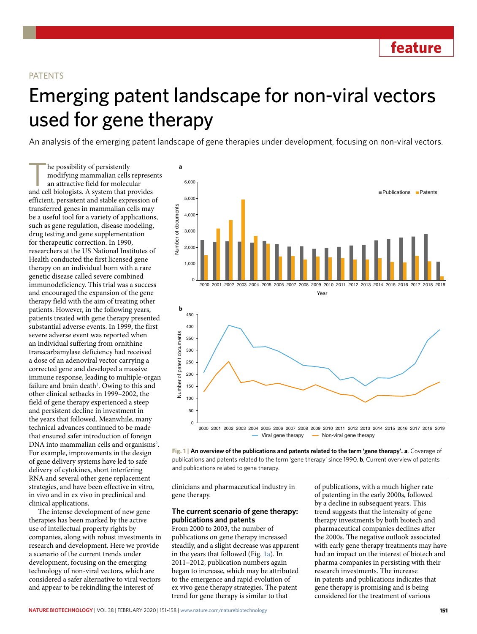**feature**

### PATENTS

# Emerging patent landscape for non-viral vectors used for gene therapy

An analysis of the emerging patent landscape of gene therapies under development, focusing on non-viral vectors.

The possibility of persistently<br>modifying mammalian cells<br>an attractive field for molecular and cell biologists. A system that no modifying mammalian cells represents an attractive field for molecular and cell biologists. A system that provides efficient, persistent and stable expression of transferred genes in mammalian cells may be a useful tool for a variety of applications, such as gene regulation, disease modeling, drug testing and gene supplementation for therapeutic correction. In 1990, researchers at the US National Institutes of Health conducted the first licensed gene therapy on an individual born with a rare genetic disease called severe combined immunodeficiency. This trial was a success and encouraged the expansion of the gene therapy field with the aim of treating other patients. However, in the following years, patients treated with gene therapy presented substantial adverse events. In 1999, the first severe adverse event was reported when an individual suffering from ornithine transcarbamylase deficiency had received a dose of an adenoviral vector carrying a corrected gene and developed a massive immune response, leading to multiple-organ failure and brain death<sup>1</sup>. Owing to this and other clinical setbacks in 1999–2002, the field of gene therapy experienced a steep and persistent decline in investment in the years that followed. Meanwhile, many technical advances continued to be made that ensured safer introduction of foreign DNA into mammalian cells and organisms<sup>2</sup>. For example, improvements in the design of gene delivery systems have led to safe delivery of cytokines, short interfering RNA and several other gene replacement strategies, and have been effective in vitro, in vivo and in ex vivo in preclinical and clinical applications.

The intense development of new gene therapies has been marked by the active use of intellectual property rights by companies, along with robust investments in research and development. Here we provide a scenario of the current trends under development, focusing on the emerging technology of non-viral vectors, which are considered a safer alternative to viral vectors and appear to be rekindling the interest of



**Fig. 1 | An overview of the publications and patents related to the term 'gene therapy'. a**, Coverage of publications and patents related to the term 'gene therapy' since 1990. **b**, Current overview of patents and publications related to gene therapy.

clinicians and pharmaceutical industry in gene therapy.

## **The current scenario of gene therapy: publications and patents**

From 2000 to 2003, the number of publications on gene therapy increased steadily, and a slight decrease was apparent in the years that followed (Fig. 1a). In 2011–2012, publication numbers again began to increase, which may be attributed to the emergence and rapid evolution of ex vivo gene therapy strategies. The patent trend for gene therapy is similar to that

of publications, with a much higher rate of patenting in the early 2000s, followed by a decline in subsequent years. This trend suggests that the intensity of gene therapy investments by both biotech and pharmaceutical companies declines after the 2000s. The negative outlook associated with early gene therapy treatments may have had an impact on the interest of biotech and pharma companies in persisting with their research investments. The increase in patents and publications indicates that gene therapy is promising and is being considered for the treatment of various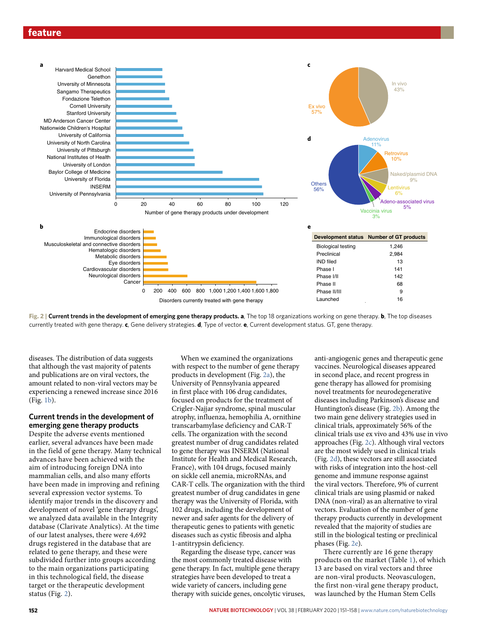





diseases. The distribution of data suggests that although the vast majority of patents and publications are on viral vectors, the amount related to non-viral vectors may be experiencing a renewed increase since 2016 (Fig. 1b).

## **Current trends in the development of emerging gene therapy products**

Despite the adverse events mentioned earlier, several advances have been made in the field of gene therapy. Many technical advances have been achieved with the aim of introducing foreign DNA into mammalian cells, and also many efforts have been made in improving and refining several expression vector systems. To identify major trends in the discovery and development of novel 'gene therapy drugs', we analyzed data available in the Integrity database (Clarivate Analytics). At the time of our latest analyses, there were 4,692 drugs registered in the database that are related to gene therapy, and these were subdivided further into groups according to the main organizations participating in this technological field, the disease target or the therapeutic development status (Fig. 2).

When we examined the organizations with respect to the number of gene therapy products in development (Fig. 2a), the University of Pennsylvania appeared in first place with 106 drug candidates, focused on products for the treatment of Crigler-Najjar syndrome, spinal muscular atrophy, influenza, hemophilia A, ornithine transcarbamylase deficiency and CAR-T cells. The organization with the second greatest number of drug candidates related to gene therapy was INSERM (National Institute for Health and Medical Research, France), with 104 drugs, focused mainly on sickle cell anemia, microRNAs, and CAR-T cells. The organization with the third greatest number of drug candidates in gene therapy was the University of Florida, with 102 drugs, including the development of newer and safer agents for the delivery of therapeutic genes to patients with genetic diseases such as cystic fibrosis and alpha 1-antitrypsin deficiency.

Regarding the disease type, cancer was the most commonly treated disease with gene therapy. In fact, multiple gene therapy strategies have been developed to treat a wide variety of cancers, including gene therapy with suicide genes, oncolytic viruses,

anti-angiogenic genes and therapeutic gene vaccines. Neurological diseases appeared in second place, and recent progress in gene therapy has allowed for promising novel treatments for neurodegenerative diseases including Parkinson's disease and Huntington's disease (Fig. 2b). Among the two main gene delivery strategies used in clinical trials, approximately 56% of the clinical trials use ex vivo and 43% use in vivo approaches (Fig. 2c). Although viral vectors are the most widely used in clinical trials (Fig. 2d), these vectors are still associated with risks of integration into the host-cell genome and immune response against the viral vectors. Therefore, 9% of current clinical trials are using plasmid or naked DNA (non-viral) as an alternative to viral vectors. Evaluation of the number of gene therapy products currently in development revealed that the majority of studies are still in the biological testing or preclinical phases (Fig. 2e).

There currently are 16 gene therapy products on the market (Table 1), of which 13 are based on viral vectors and three are non-viral products. Neovasculogen, the first non-viral gene therapy product, was launched by the Human Stem Cells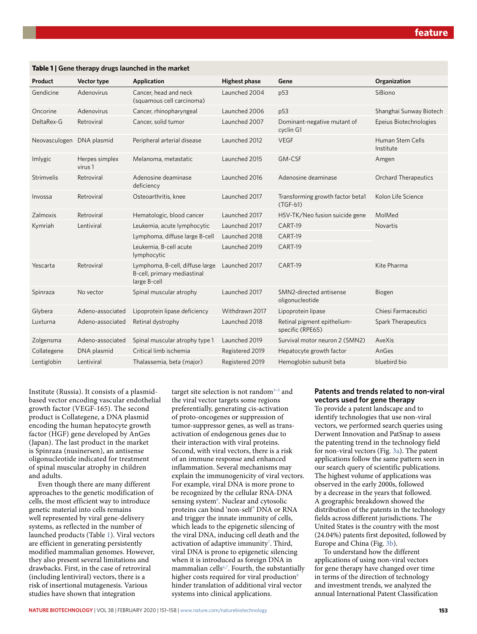| Product       | Vector type               | Application                                                                    | <b>Highest phase</b> | Gene                                            | Organization                  |
|---------------|---------------------------|--------------------------------------------------------------------------------|----------------------|-------------------------------------------------|-------------------------------|
| Gendicine     | Adenovirus                | Cancer, head and neck<br>(squamous cell carcinoma)                             | Launched 2004        | p53                                             | SiBiono                       |
| Oncorine      | Adenovirus                | Cancer, rhinopharyngeal                                                        | Launched 2006        | p53                                             | Shanghai Sunway Biotech       |
| DeltaRex-G    | Retroviral                | Cancer, solid tumor                                                            | Launched 2007        | Dominant-negative mutant of<br>cyclin G1        | Epeius Biotechnologies        |
| Neovasculogen | DNA plasmid               | Peripheral arterial disease                                                    | Launched 2012        | <b>VEGF</b>                                     | Human Stem Cells<br>Institute |
| Imlygic       | Herpes simplex<br>virus 1 | Melanoma, metastatic                                                           | Launched 2015        | GM-CSF                                          | Amgen                         |
| Strimvelis    | Retroviral                | Adenosine deaminase<br>deficiency                                              | Launched 2016        | Adenosine deaminase                             | <b>Orchard Therapeutics</b>   |
| Invossa       | Retroviral                | Osteoarthritis, knee                                                           | Launched 2017        | Transforming growth factor beta1<br>$(TGF-b1)$  | Kolon Life Science            |
| Zalmoxis      | Retroviral                | Hematologic, blood cancer                                                      | Launched 2017        | HSV-TK/Neo fusion suicide gene                  | MolMed                        |
| Kymriah       | Lentiviral                | Leukemia, acute lymphocytic                                                    | Launched 2017        | CART-19                                         | <b>Novartis</b>               |
|               |                           | Lymphoma, diffuse large B-cell                                                 | Launched 2018        | CART-19                                         |                               |
|               |                           | Leukemia, B-cell acute<br>lymphocytic                                          | Launched 2019        | CART-19                                         |                               |
| Yescarta      | Retroviral                | Lymphoma, B-cell, diffuse large<br>B-cell, primary mediastinal<br>large B-cell | Launched 2017        | CART-19                                         | Kite Pharma                   |
| Spinraza      | No vector                 | Spinal muscular atrophy                                                        | Launched 2017        | SMN2-directed antisense<br>oligonucleotide      | Biogen                        |
| Glybera       | Adeno-associated          | Lipoprotein lipase deficiency                                                  | Withdrawn 2017       | Lipoprotein lipase                              | Chiesi Farmaceutici           |
| Luxturna      | Adeno-associated          | Retinal dystrophy                                                              | Launched 2018        | Retinal pigment epithelium-<br>specific (RPE65) | <b>Spark Therapeutics</b>     |
| Zolgensma     | Adeno-associated          | Spinal muscular atrophy type 1                                                 | Launched 2019        | Survival motor neuron 2 (SMN2)                  | AveXis                        |
| Collategene   | DNA plasmid               | Critical limb ischemia                                                         | Registered 2019      | Hepatocyte growth factor                        | AnGes                         |
| Lentiglobin   | Lentiviral                | Thalassemia, beta (major)                                                      | Registered 2019      | Hemoglobin subunit beta                         | bluebird bio                  |

#### **Table 1 | Gene therapy drugs launched in the market**

Institute (Russia). It consists of a plasmidbased vector encoding vascular endothelial growth factor (VEGF-165). The second product is Collategene, a DNA plasmid encoding the human hepatocyte growth factor (HGF) gene developed by AnGes (Japan). The last product in the market is Spinraza (nusinersen), an antisense oligonucleotide indicated for treatment of spinal muscular atrophy in children and adults.

Even though there are many different approaches to the genetic modification of cells, the most efficient way to introduce genetic material into cells remains well represented by viral gene-delivery systems, as reflected in the number of launched products (Table 1). Viral vectors are efficient in generating persistently modified mammalian genomes. However, they also present several limitations and drawbacks. First, in the case of retroviral (including lentiviral) vectors, there is a risk of insertional mutagenesis. Various studies have shown that integration

target site selection is not random<sup>3-5</sup> and the viral vector targets some regions preferentially, generating cis*-*activation of proto-oncogenes or suppression of tumor-suppressor genes, as well as transactivation of endogenous genes due to their interaction with viral proteins. Second, with viral vectors, there is a risk of an immune response and enhanced inflammation. Several mechanisms may explain the immunogenicity of viral vectors. For example, viral DNA is more prone to be recognized by the cellular RNA-DNA sensing system<sup>6</sup>. Nuclear and cytosolic proteins can bind 'non-self' DNA or RNA and trigger the innate immunity of cells, which leads to the epigenetic silencing of the viral DNA, inducing cell death and the activation of adaptive immunity<sup>7</sup>. Third, viral DNA is prone to epigenetic silencing when it is introduced as foreign DNA in mammalian cells<sup>6,7</sup>. Fourth, the substantially higher costs required for viral production<sup>8</sup> hinder translation of additional viral vector systems into clinical applications.

## **Patents and trends related to non-viral vectors used for gene therapy**

To provide a patent landscape and to identify technologies that use non-viral vectors, we performed search queries using Derwent Innovation and PatSnap to assess the patenting trend in the technology field for non-viral vectors (Fig. 3a). The patent applications follow the same pattern seen in our search query of scientific publications. The highest volume of applications was observed in the early 2000s, followed by a decrease in the years that followed. A geographic breakdown showed the distribution of the patents in the technology fields across different jurisdictions. The United States is the country with the most (24.04%) patents first deposited, followed by Europe and China (Fig. 3b).

To understand how the different applications of using non-viral vectors for gene therapy have changed over time in terms of the direction of technology and investment trends, we analyzed the annual International Patent Classification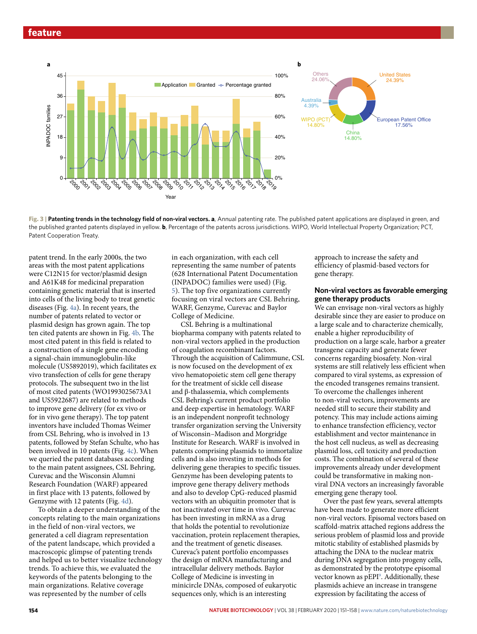

**Fig. 3 | Patenting trends in the technology field of non-viral vectors. a**, Annual patenting rate. The published patent applications are displayed in green, and the published granted patents displayed in yellow. **b**, Percentage of the patents across jurisdictions. WIPO, World Intellectual Property Organization; PCT, Patent Cooperation Treaty.

patent trend. In the early 2000s, the two areas with the most patent applications were C12N15 for vector/plasmid design and A61K48 for medicinal preparation containing genetic material that is inserted into cells of the living body to treat genetic diseases (Fig. 4a). In recent years, the number of patents related to vector or plasmid design has grown again. The top ten cited patents are shown in Fig. 4b. The most cited patent in this field is related to a construction of a single gene encoding a signal-chain immunoglobulin-like molecule (US5892019), which facilitates ex vivo transfection of cells for gene therapy protocols. The subsequent two in the list of most cited patents (WO1993025673A1 and US5922687) are related to methods to improve gene delivery (for ex vivo or for in vivo gene therapy). The top patent inventors have included Thomas Weimer from CSL Behring, who is involved in 13 patents, followed by Stefan Schulte, who has been involved in 10 patents (Fig. 4c). When we queried the patent databases according to the main patent assignees, CSL Behring, Curevac and the Wisconsin Alumni Research Foundation (WARF) appeared in first place with 13 patents, followed by Genzyme with 12 patents (Fig. 4d).

To obtain a deeper understanding of the concepts relating to the main organizations in the field of non-viral vectors, we generated a cell diagram representation of the patent landscape, which provided a macroscopic glimpse of patenting trends and helped us to better visualize technology trends. To achieve this, we evaluated the keywords of the patents belonging to the main organizations. Relative coverage was represented by the number of cells

in each organization, with each cell representing the same number of patents (628 International Patent Documentation (INPADOC) families were used) (Fig. 5). The top five organizations currently focusing on viral vectors are CSL Behring, WARF, Genzyme, Curevac and Baylor College of Medicine.

CSL Behring is a multinational biopharma company with patents related to non-viral vectors applied in the production of coagulation recombinant factors. Through the acquisition of Calimmune, CSL is now focused on the development of ex vivo hematopoietic stem cell gene therapy for the treatment of sickle cell disease and β-thalassemia, which complements CSL Behring's current product portfolio and deep expertise in hematology. WARF is an independent nonprofit technology transfer organization serving the University of Wisconsin–Madison and Morgridge Institute for Research. WARF is involved in patents comprising plasmids to immortalize cells and is also investing in methods for delivering gene therapies to specific tissues. Genzyme has been developing patents to improve gene therapy delivery methods and also to develop CpG-reduced plasmid vectors with an ubiquitin promoter that is not inactivated over time in vivo. Curevac has been investing in mRNA as a drug that holds the potential to revolutionize vaccination, protein replacement therapies, and the treatment of genetic diseases. Curevac's patent portfolio encompasses the design of mRNA manufacturing and intracellular delivery methods. Baylor College of Medicine is investing in minicircle DNAs, composed of eukaryotic sequences only, which is an interesting

approach to increase the safety and efficiency of plasmid-based vectors for gene therapy.

#### **Non-viral vectors as favorable emerging gene therapy products**

We can envisage non-viral vectors as highly desirable since they are easier to produce on a large scale and to characterize chemically, enable a higher reproducibility of production on a large scale, harbor a greater transgene capacity and generate fewer concerns regarding biosafety. Non-viral systems are still relatively less efficient when compared to viral systems, as expression of the encoded transgenes remains transient. To overcome the challenges inherent to non-viral vectors, improvements are needed still to secure their stability and potency. This may include actions aiming to enhance transfection efficiency, vector establishment and vector maintenance in the host cell nucleus, as well as decreasing plasmid loss, cell toxicity and production costs. The combination of several of these improvements already under development could be transformative in making nonviral DNA vectors an increasingly favorable emerging gene therapy tool.

Over the past few years, several attempts have been made to generate more efficient non-viral vectors. Episomal vectors based on scaffold-matrix attached regions address the serious problem of plasmid loss and provide mitotic stability of established plasmids by attaching the DNA to the nuclear matrix during DNA segregation into progeny cells, as demonstrated by the prototype episomal vector known as pEPI<sup>9</sup>. Additionally, these plasmids achieve an increase in transgene expression by facilitating the access of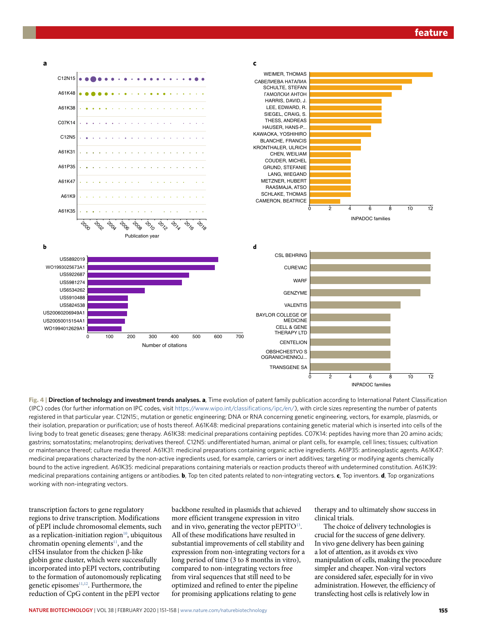

**Fig. 4 | Direction of technology and investment trends analyses. a**, Time evolution of patent family publication according to International Patent Classification (IPC) codes (for further information on IPC codes, visit [https://www.wipo.int/classifications/ipc/en/\)](https://www.wipo.int/classifications/ipc/en/), with circle sizes representing the number of patents registered in that particular year. C12N15:, mutation or genetic engineering; DNA or RNA concerning genetic engineering, vectors, for example, plasmids, or their isolation, preparation or purification; use of hosts thereof. A61K48: medicinal preparations containing genetic material which is inserted into cells of the living body to treat genetic diseases; gene therapy. A61K38: medicinal preparations containing peptides. C07K14: peptides having more than 20 amino acids; gastrins; somatostatins; melanotropins; derivatives thereof. C12N5: undifferentiated human, animal or plant cells, for example, cell lines; tissues; cultivation or maintenance thereof; culture media thereof. A61K31: medicinal preparations containing organic active ingredients. A61P35: antineoplastic agents. A61K47: medicinal preparations characterized by the non-active ingredients used, for example, carriers or inert additives; targeting or modifying agents chemically bound to the active ingredient. A61K35: medicinal preparations containing materials or reaction products thereof with undetermined constitution. A61K39: medicinal preparations containing antigens or antibodies. **b**, Top ten cited patents related to non-integrating vectors. **c**, Top inventors. **d**, Top organizations working with non-integrating vectors.

transcription factors to gene regulatory regions to drive transcription. Modifications of pEPI include chromosomal elements, such as a replication-initiation region $10$ , ubiquitous chromatin opening elements $11$ , and the cHS4 insulator from the chicken β-like globin gene cluster, which were successfully incorporated into pEPI vectors, contributing to the formation of autonomously replicating genetic episomes<sup>11,12</sup>. Furthermore, the reduction of CpG content in the pEPI vector

backbone resulted in plasmids that achieved more efficient transgene expression in vitro and in vivo, generating the vector  $pEPITO^{13}$ . All of these modifications have resulted in substantial improvements of cell stability and expression from non-integrating vectors for a long period of time (3 to 8 months in vitro), compared to non-integrating vectors free from viral sequences that still need to be optimized and refined to enter the pipeline for promising applications relating to gene

therapy and to ultimately show success in clinical trials.

The choice of delivery technologies is crucial for the success of gene delivery. In vivo gene delivery has been gaining a lot of attention, as it avoids ex vivo manipulation of cells, making the procedure simpler and cheaper. Non-viral vectors are considered safer, especially for in vivo administration. However, the efficiency of transfecting host cells is relatively low in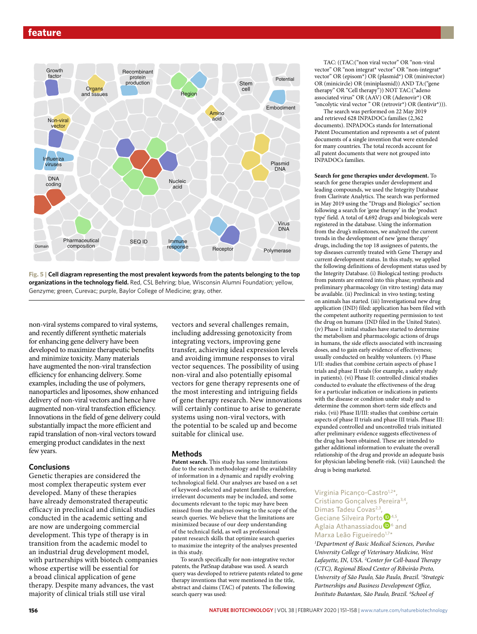

**Fig. 5 | Cell diagram representing the most prevalent keywords from the patents belonging to the top organizations in the technology field.** Red, CSL Behring; blue, Wisconsin Alumni Foundation; yellow, Genzyme; green, Curevac; purple, Baylor College of Medicine; gray, other.

non-viral systems compared to viral systems, and recently different synthetic materials for enhancing gene delivery have been developed to maximize therapeutic benefits and minimize toxicity. Many materials have augmented the non-viral transfection efficiency for enhancing delivery. Some examples, including the use of polymers, nanoparticles and liposomes, show enhanced delivery of non-viral vectors and hence have augmented non-viral transfection efficiency. Innovations in the field of gene delivery could substantially impact the more efficient and rapid translation of non-viral vectors toward emerging product candidates in the next few years.

### **Conclusions**

Genetic therapies are considered the most complex therapeutic system ever developed. Many of these therapies have already demonstrated therapeutic efficacy in preclinical and clinical studies conducted in the academic setting and are now are undergoing commercial development. This type of therapy is in transition from the academic model to an industrial drug development model, with partnerships with biotech companies whose expertise will be essential for a broad clinical application of gene therapy. Despite many advances, the vast majority of clinical trials still use viral

vectors and several challenges remain, including addressing genotoxicity from integrating vectors, improving gene transfer, achieving ideal expression levels and avoiding immune responses to viral vector sequences. The possibility of using non-viral and also potentially episomal vectors for gene therapy represents one of the most interesting and intriguing fields of gene therapy research. New innovations will certainly continue to arise to generate systems using non-viral vectors, with the potential to be scaled up and become suitable for clinical use.

#### **Methods**

**Patent search.** This study has some limitations due to the search methodology and the availability of information in a dynamic and rapidly evolving technological field. Our analyses are based on a set of keyword-selected and patent families; therefore, irrelevant documents may be included, and some documents relevant to the topic may have been missed from the analyses owing to the scope of the search queries. We believe that the limitations are minimized because of our deep understanding of the technical field, as well as professional patent research skills that optimize search queries to maximize the integrity of the analyses presented in this study.

To search specifically for non-integrative vector patents, the PatSnap database was used. A search query was developed to retrieve patents related to gene therapy inventions that were mentioned in the title, abstract and claims (TAC) of patents. The following search query was used:

TAC: ((TAC:("non viral vector" OR "non-viral vector" OR "non integrat\* vector" OR "non-integrat\* vector" OR (episom\*) OR (plasmid\*) OR (minivector) OR (minicircle) OR (miniplasmid)) AND TA:("gene therapy" OR "Cell therapy")) NOT TAC:("adeno associated virus" OR (AAV) OR (Adenovir\*) OR "oncolytic viral vector " OR (retrovir\*) OR (lentivir\*))).

The search was performed on 22 May 2019 and retrieved 628 INPADOCs families (2,362 documents). INPADOCs stands for International Patent Documentation and represents a set of patent documents of a single invention that were extended for many countries. The total records account for all patent documents that were not grouped into INPADOCs families.

**Search for gene therapies under development.** To search for gene therapies under development and leading compounds, we used the Integrity Database from Clarivate Analytics. The search was performed in May 2019 using the "Drugs and Biologics" section following a search for 'gene therapy' in the 'product type' field. A total of 4,692 drugs and biologicals were registered in the database. Using the information from the drug's milestones, we analyzed the current trends in the development of new 'gene therapy' drugs, including the top 18 assignees of patents, the top diseases currently treated with Gene Therapy and current development status. In this study, we applied the following definitions of development status used by the Integrity Database. (i) Biological testing: products from patents are entered into this phase; synthesis and preliminary pharmacology (in vitro testing) data may be available. (ii) Preclinical: in vivo testing; testing on animals has started. (iii) Investigational new drug application (IND) filed: application has been filed with the competent authority requesting permission to test the drug on humans (IND filed in the United States). (iv) Phase I: initial studies have started to determine the metabolism and pharmacologic actions of drugs in humans, the side effects associated with increasing doses, and to gain early evidence of effectiveness; usually conducted on healthy volunteers. (v) Phase I/II: studies that combine certain aspects of phase I trials and phase II trials (for example, a safety study in patients). (vi) Phase II: controlled clinical studies conducted to evaluate the effectiveness of the drug for a particular indication or indications in patients with the disease or condition under study and to determine the common short-term side effects and risks. (vii) Phase II/III: studies that combine certain aspects of phase II trials and phase III trials. Phase III: expanded controlled and uncontrolled trials initiated after preliminary evidence suggests effectiveness of the drug has been obtained. These are intended to gather additional information to evaluate the overall relationship of the drug and provide an adequate basis for physician labeling benefit-risk. (viii) Launched: the drug is being marketed.

### Virginia Picanco-Castro<sup>1,2\*</sup> Cristiano Goncalves Pereira<sup>3,4</sup>, DimasTadeu Covas<sup>2,3</sup> Geciane Silveira Porto<sup>D<sub>4,5</sub></sup>, Aglaia Athanassiadou $\mathbf{D}^6$  and Marxa Leão Figueiredo<sup>1,7\*</sup>

*1 Department of Basic Medical Sciences, Purdue University College of Veterinary Medicine, West*  Lafayette, IN, USA. <sup>2</sup> Center for Cell-based Therapy *(CTC), Regional Blood Center of Ribeirão Preto, University of São Paulo, São Paulo, Brazil. 3 Strategic Partnerships and Business Development Office, Instituto Butantan, São Paulo, Brazil. 4 School of*